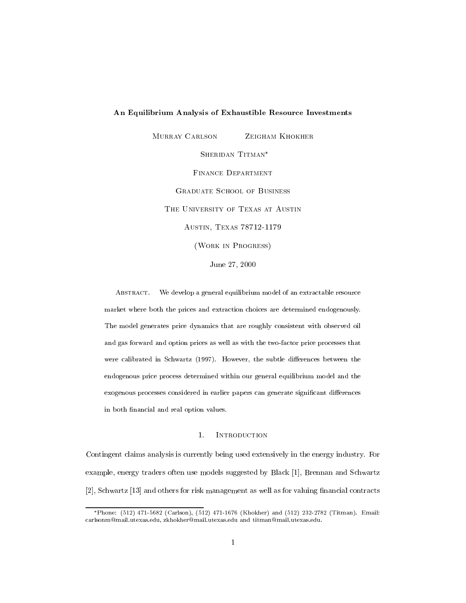# An Equilibrium Analysis of Exhaustible Resource Investments

MURRAY CARLSON ZEIGHAM KHOKHER SHERIDAN TITMAN\* Finance Department Graduate School of Business THE UNIVERSITY OF TEXAS AT AUSTIN Austin, Texas 78712-1179 (Work in Progress)

June 27, 2000

ABSTRACT. We develop a general equilibrium model of an extractable resource market where both the prices and extraction choices are determined endogenously.The model generates price dynamics that are roughly consistent with observed oiland gas forward and option prices as well as with the two-factor price processes thatwere calibrated in Schwartz (1997). However, the subtle diepens between the subtle dierences between the subtle endogenous price process determined within our general equilibrium model and theexogenous processes considered in earlier papers can generate significant differences in both financial and real option values.

### $\mathbf{1}$ . **INTRODUCTION**

Contingent claims analysis is currently being used extensively in the energy industry. For example, energy traders often use models suggested by Black [1], Brennan and Schwartz [2], Schwartz [13] and others for risk management as well as for valuing financial contracts

Phone: (512) 471-5682 (Carlson), (512) 471-1676 (Khokher) and (512) 232-2782 (Titman). Email: carlsonm@mail.utexas.edu, zkhokher@mail.utexas.edu and titman@mail.utexas.edu.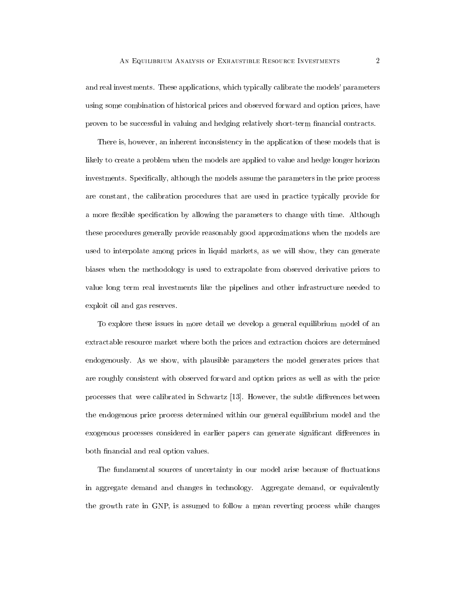and real investments. These applications, which typically calibrate the models' parameters using some combination of historical prices and observed forward and option prices, have proven to be successful in valuing and hedging relatively short-term nancial contracts.

There is, however, an inherent inconsistency in the application of these models that is likely to create a problem when the models are applied to value and hedge longer horizon investments. Specifically, although the models assume the parameters in the price process are constant, the calibration procedures that are used in practice typically provide for a more flexible specification by allowing the parameters to change with time. Although these procedures generally provide reasonably good approximations when the models are used to interpolate among prices in liquid markets, as we will show, they can generate biases when the methodology is used to extrapolate from observed derivative prices to value long term real investments like the pipelines and other infrastructure needed to exploit oil and gas reserves.

To explore these issues in more detail we develop a general equilibrium model of an extractable resource market where both the prices and extraction choices are determined endogenously. As we show, with plausible parameters the model generates prices that are roughly consistent with observed forward and option prices as well as with the price processes that were calibrated in Schwartz [13]. However, the subtle differences between the endogenous price process determined within our general equilibrium model and the exogenous processes considered in earlier papers can generate significant differences in both financial and real option values.

The fundamental sources of uncertainty in our model arise because of fluctuations in aggregate demand and changes in technology. Aggregate demand, or equivalently the growth rate in GNP, is assumed to follow a mean reverting process while changes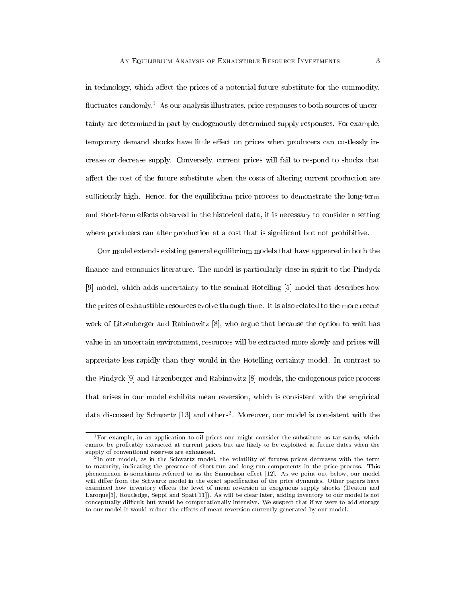in technology, which affect the prices of a potential future substitute for the commodity, fluctuates randomly.<sup>1</sup> As our analysis illustrates, price responses to both sources of uncertainty are determined in part by endogenously determined supply responses. For example, temporary demand shocks have little effect on prices when producers can costlessly increase or decrease supply. Conversely, current prices will fail to respond to shocks that affect the cost of the future substitute when the costs of altering current production are sufficiently high. Hence, for the equilibrium price process to demonstrate the long-term and short-term effects observed in the historical data, it is necessary to consider a setting where producers can alter production at a cost that is significant but not prohibitive.

Our model extends existing general equilibrium models that have appeared in both the finance and economics literature. The model is particularly close in spirit to the Pindyck [9] model, which adds uncertainty to the seminal Hotelling [5] model that describes how the prices of exhaustible resources evolve through time. It is also related to the more recent work of Litzenberger and Rabinowitz [8], who argue that because the option to wait has value in an uncertain environment, resources will be extracted more slowly and prices will appreciate less rapidly than they would in the Hotelling certainty model. In contrast to the Pindyck [9] and Litzenberger and Rabinowitz [8] models, the endogenous price process that arises in our model exhibits mean reversion, which is consistent with the empirical data discussed by Schwartz [13] and others<sup>2</sup> . Moreover, our model is consistent with the

<sup>&</sup>lt;sup>1</sup>For example, in an application to oil prices one might consider the substitute as tar sands, which cannot be protably extracted at current prices but are likely to be exploited at future dates when the supply of conventional reserves are exhausted.

<sup>2</sup> In our model, as in the Schwartz model, the volatility of futures prices decreases with the term to maturity, indicating the presence of short-run and long-run components in the price process. This phenomenon is sometimes referred to as the Samuelson effect [12]. As we point out below, our model will differ from the Schwartz model in the exact specification of the price dynamics. Other papers have examined how inventory effects the level of mean reversion in exogenous supply shocks (Deaton and Laroque[3], Routledge, Seppi and Spatt[11]). As will be clear later, adding inventory to our model is not conceptually difficult but would be computationally intensive. We suspect that if we were to add storage to our model it would reduce the effects of mean reversion currently generated by our model.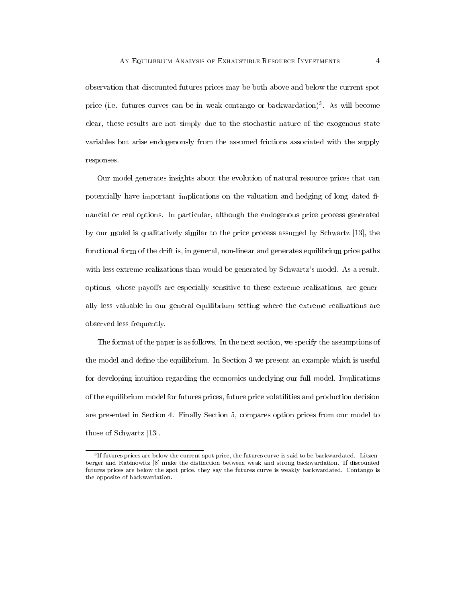observation that discounted futures prices may be both above and below the current spot price (i.e. futures curves can be in weak contango or backwardation)3 . As will become clear, these results are not simply due to the stochastic nature of the exogenous state variables but arise endogenously from the assumed frictions associated with the supply responses.

Our model generates insights about the evolution of natural resource prices that can potentially have important implications on the valuation and hedging of long dated financial or real options. In particular, although the endogenous price process generated by our model is qualitatively similar to the price process assumed by Schwartz [13], the functional form of the drift is, in general, non-linear and generates equilibrium price paths with less extreme realizations than would be generated by Schwartz's model. As a result, options, whose payoffs are especially sensitive to these extreme realizations, are generally less valuable in our general equilibrium setting where the extreme realizations are observed less frequently.

The format of the paper is as follows. In the next section, we specify the assumptions of the model and define the equilibrium. In Section 3 we present an example which is useful for developing intuition regarding the economics underlying our full model. Implications of the equilibrium model for futures prices, future price volatilities and production decision are presented in Section 4. Finally Section 5, compares option prices from our model to those of Schwartz [13].

<sup>3</sup> If futures prices are below the current spot price, the futures curve is said to be backwardated. Litzenberger and Rabinowitz [8] make the distinction between weak and strong backwardation. If discounted futures prices are below the spot price, they say the futures curve is weakly backwardated. Contango is the opposite of backwardation.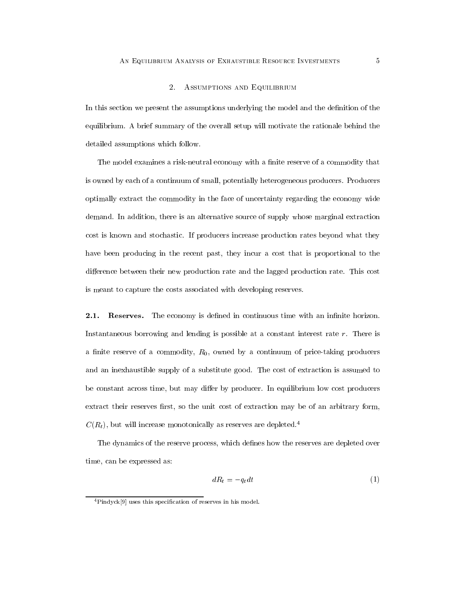#### 2. ASSUMPTIONS AND EQUILIBRIUM

In this section we present the assumptions underlying the model and the definition of the equilibrium. A brief summary of the overall setup will motivate the rationale behind the detailed assumptions which follow.

The model examines a risk-neutral economy with a finite reserve of a commodity that is owned by each of a continuum of small, potentially heterogeneous producers. Producers optimally extract the commodity in the face of uncertainty regarding the economy wide demand. In addition, there is an alternative source of supply whose marginal extraction cost is known and stochastic. If producers increase production rates beyond what they have been producing in the recent past, they incur a cost that is proportional to the difference between their new production rate and the lagged production rate. This cost is meant to capture the costs associated with developing reserves.

**2.1.** Reserves. The economy is defined in continuous time with an infinite horizon. Instantaneous borrowing and lending is possible at a constant interest rate  $r$ . There is a finite reserve of a commodity,  $R_0$ , owned by a continuum of price-taking producers and an inexhaustible supply of a substitute good. The cost of extraction is assumed to be constant across time, but may differ by producer. In equilibrium low cost producers extract their reserves first, so the unit cost of extraction may be of an arbitrary form,  $C(R_t)$ , but will increase monotonically as reserves are depleted.<sup>4</sup>

The dynamics of the reserve process, which defines how the reserves are depleted over time, can be expressed as:

$$
dR_t = -q_t dt \tag{1}
$$

<sup>4</sup>Pindyck[9] uses this specication of reserves in his model.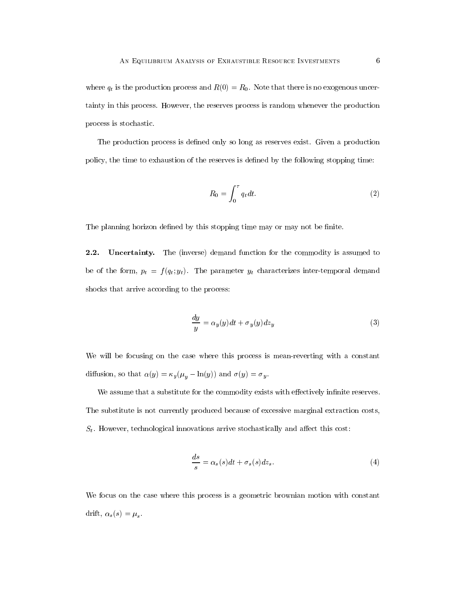where  $q_t$  is the production process and  $R(0) = R_0$ . Note that there is no exogenous uncertainty in this process. However, the reserves process is random whenever the production process is stochastic.

The production process is defined only so long as reserves exist. Given a production policy, the time to exhaustion of the reserves is defined by the following stopping time:

$$
R_0 = \int_0^\tau q_t dt. \tag{2}
$$

The planning horizon defined by this stopping time may or may not be finite.

2.2. Uncertainty. The (inverse) demand function for the commodity is assumed to be of the form,  $p_t = f(q_t; y_t)$ . The parameter  $y_t$  characterizes inter-temporal demand shocks that arrive according to the process:

$$
\frac{dy}{y} = \alpha_y(y)dt + \sigma_y(y)dz_y
$$
\n(3)

We will be focusing on the case where this process is mean-reverting with a constant diffusion, so that  $\alpha(y) = \kappa_y (\mu_y - \ln(y))$  and  $\sigma(y) = \sigma_y.$ 

We assume that a substitute for the commodity exists with effectively infinite reserves. The substitute is not currently produced because of excessive marginal extraction costs,  $S_t$ . However, technological innovations arrive stochastically and affect this cost:

$$
\frac{ds}{s} = \alpha_s(s)dt + \sigma_s(s)dz_s.
$$
\n(4)

We focus on the case where this process is a geometric brownian motion with constant drift,  $\alpha_s(s) = \mu_s$ .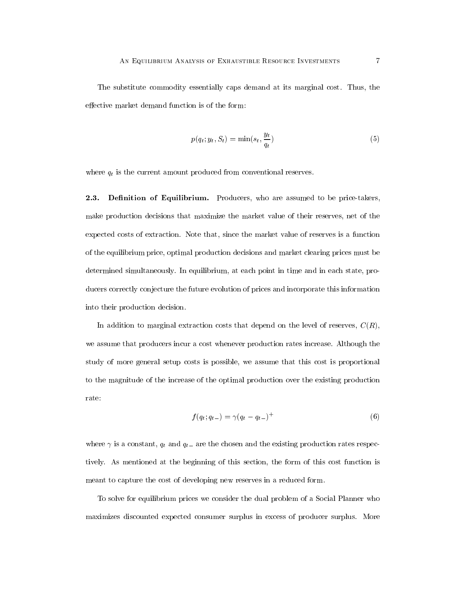The substitute commodity essentially caps demand at its marginal cost. Thus, the effective market demand function is of the form:

$$
p(q_t; y_t, S_t) = \min(s_t, \frac{y_t}{q_t})
$$
\n<sup>(5)</sup>

where  $q_t$  is the current amount produced from conventional reserves.

2.3. Definition of Equilibrium. Producers, who are assumed to be price-takers, make production decisions that maximize the market value of their reserves, net of the expected costs of extraction. Note that, since the market value of reserves is a function of the equilibrium price, optimal production decisions and market clearing prices must be determined simultaneously. In equilibrium, at each point in time and in each state, producers correctly conjecture the future evolution of prices and incorporate this information into their production decision.

In addition to marginal extraction costs that depend on the level of reserves,  $C(R)$ , we assume that producers incur a cost whenever production rates increase. Although the study of more general setup costs is possible, we assume that this cost is proportional to the magnitude of the increase of the optimal production over the existing production rate:

$$
f(q_t; q_{t-}) = \gamma (q_t - q_{t-})^+
$$
\n(6)

where  $\gamma$  is a constant,  $q_t$  and  $q_{t-}$  are the chosen and the existing production rates respectively. As mentioned at the beginning of this section, the form of this cost function is meant to capture the cost of developing new reserves in a reduced form.

To solve for equilibrium prices we consider the dual problem of a Social Planner who maximizes discounted expected consumer surplus in excess of producer surplus. More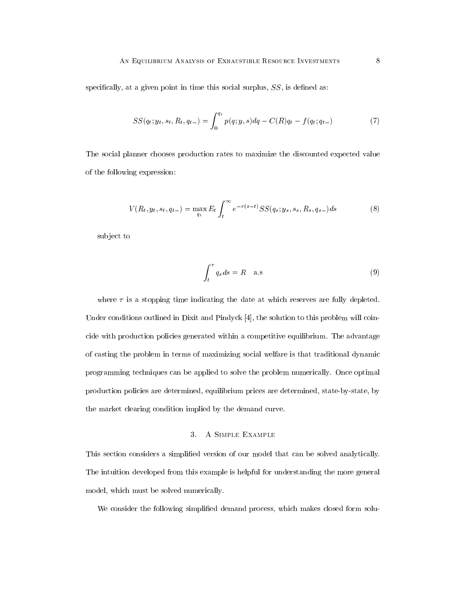specifically, at a given point in time this social surplus,  $SS$ , is defined as:

$$
SS(q_t; y_t, s_t, R_t, q_{t-}) = \int_0^{q_t} p(q; y, s) dq - C(R) q_t - f(q_t; q_{t-}) \tag{7}
$$

The social planner chooses production rates to maximize the discounted expected value of the following expression:

$$
V(R_t, y_t, s_t, q_{t-}) = \max_{q_t} E_t \int_t^{\infty} e^{-r(s-t)} S S(q_s; y_s, s_s, R_s, q_{s-}) ds \tag{8}
$$

subject to

$$
\int_{t}^{\tau} q_{s} ds = R \quad \text{a.s}
$$
\n(9)

where  $\tau$  is a stopping time indicating the date at which reserves are fully depleted. Under conditions outlined in Dixit and Pindyck [4], the solution to this problem will coincide with production policies generated within a competitive equilibrium. The advantage of casting the problem in terms of maximizing social welfare is that traditional dynamic programming techniques can be applied to solve the problem numerically. Once optimal production policies are determined, equilibrium prices are determined, state-by-state, by the market clearing condition implied by the demand curve.

# 3. A Simple Example

This section considers a simplied version of our model that can be solved analytically. The intuition developed from this example is helpful for understanding the more general model, which must be solved numerically.

We consider the following simplified demand process, which makes closed form solu-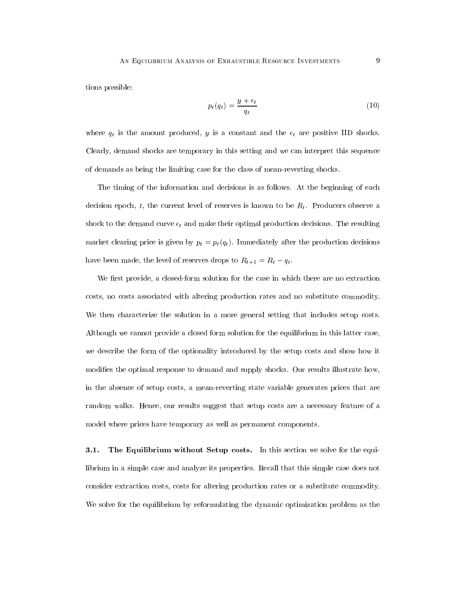tions possible:

$$
p_t(q_t) = \frac{y + \epsilon_t}{q_t} \tag{10}
$$

where  $q_t$  is the amount produced, y is a constant and the  $\epsilon_t$  are positive IID shocks. Clearly, demand shocks are temporary in this setting and we can interpret this sequence of demands as being the limiting case for the class of mean-reverting shocks.

The timing of the information and decisions is as follows. At the beginning of each decision epoch, t, the current level of reserves is known to be  $R_t$ . Producers observe a shock to the demand curve  $\epsilon_t$  and make their optimal production decisions. The resulting market clearing price is given by  $p_t = p_t(q_t)$ . Immediately after the production decisions have been made, the level of reserves drops to  $R_{t+1} = R_t - q_t$ .<br>We first provide, a closed-form solution for the case in which there are no extraction

costs, no costs associated with altering production rates and no substitute commodity. We then characterize the solution in a more general setting that includes setup costs. Although we cannot provide a closed form solution for the equilibrium in this latter case, we describe the form of the optionality introduced by the setup costs and show how it modifies the optimal response to demand and supply shocks. Our results illustrate how, in the absence of setup costs, a mean-reverting state variable generates prices that are random walks. Hence, our results suggest that setup costs are a necessary feature of a model where prices have temporary as well as permanent components.

3.1. The Equilibrium without Setup costs. In this section we solve for the equilibrium in a simple case and analyze its properties. Recall that this simple case does not consider extraction costs, costs for altering production rates or a substitute commodity. We solve for the equilibrium by reformulating the dynamic optimization problem as the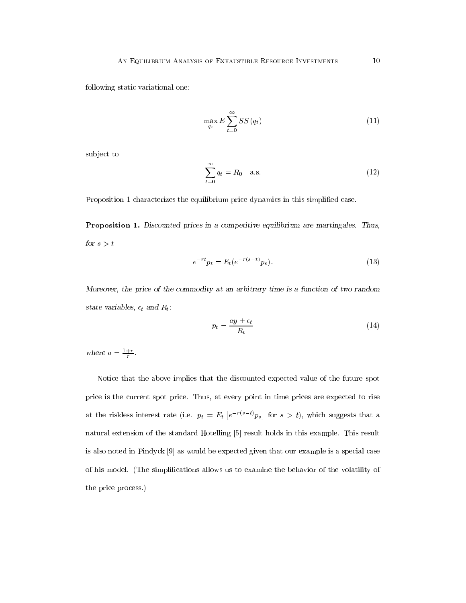following static variational one:

$$
\max_{q_t} E\sum_{t=0}^{\infty} SS(q_t)
$$
\n(11)

sub ject to

$$
\sum_{t=0}^{\infty} q_t = R_0 \quad \text{a.s.} \tag{12}
$$

Proposition 1 characterizes the equilibrium price dynamics in this simplied case.

Proposition 1. Discounted prices in a competitive equilibrium are martingales. Thus, for  $s>t$ 

$$
e^{-rt}p_t = E_t(e^{-r(s-t)}p_s).
$$
 (13)

Moreover, the price of the commodity at an arbitrary time is a function of two random state variables,  $\epsilon_t$  and  $R_t$ :

$$
p_t = \frac{ay + \epsilon_t}{R_t} \tag{14}
$$

where  $a = \frac{1}{r}$ .

Notice that the above implies that the discounted expected value of the future spot price is the current spot price. Thus, at every point in time prices are expected to rise at the riskless interest rate (i.e.  $p_t = E_t \left[ e^{-r(s-t)} p_s \right]$  for  $s > t$ ), which suggests that a natural extension of the standard Hotelling [5] result holds in this example. This result is also noted in Pindyck [9] as would be expected given that our example is a special case of his model. (The simplications allows us to examine the behavior of the volatility of the price process.)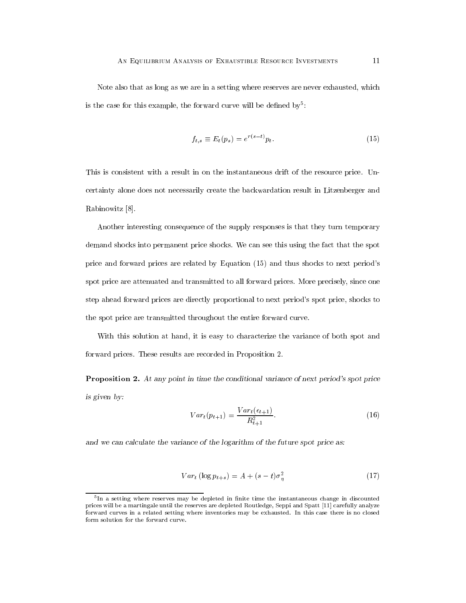is the case for this example, the forward curve will be defined by:

$$
f_{t,s} \equiv E_t(p_s) = e^{r(s-t)} p_t.
$$
\n
$$
(15)
$$

This is consistent with a result in on the instantaneous drift of the resource price. Uncertainty alone does not necessarily create the backwardation result in Litzenberger and Rabinowitz [8].

Another interesting consequence of the supply responses is that they turn temporary demand shocks into permanent price shocks. We can see this using the fact that the spot price and forward prices are related by Equation (15) and thus shocks to next period's spot price are attenuated and transmitted to all forward prices. More precisely, since one step ahead forward prices are directly proportional to next period's spot price, shocks to the spot price are transmitted throughout the entire forward curve.

With this solution at hand, it is easy to characterize the variance of both spot and forward prices. These results are recorded in Proposition 2.

Proposition 2. At any point in time the conditional variance of next period's spot price is given by:

$$
Var_t(p_{t+1}) = \frac{Var_t(\epsilon_{t+1})}{R_{t+1}^2}.
$$
\n(16)

and we can calculate the variance of the logarithm of the future spot price as:

$$
Var_t (\log p_{t+s}) = A + (s-t)\sigma_n^2 \tag{17}
$$

<sup>5</sup> In a setting where reserves may be depleted in nite time the instantaneous change in discounted prices will be a martingale until the reserves are depleted Routledge, Seppi and Spatt [11] carefully analyze forward curves in a related setting where inventories may be exhausted. In this case there is no closed form solution for the forward curve.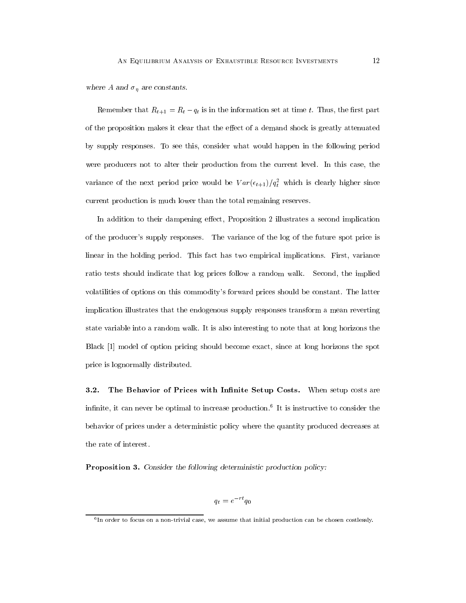where A and  $\sigma_\eta$  are constants.

Remember that  $R_{t+1} = R_t - q_t$  is in the information set at time t. Thus, the first part of the proposition makes it clear that the effect of a demand shock is greatly attenuated by supply responses. To see this, consider what would happen in the following period were producers not to alter their production from the current level. In this case, the variance of the next period price would be  $V$   $ar$  ( $\epsilon_{t+1}/q_t$  which is clearly higher since current production is much lower than the total remaining reserves.

In addition to their dampening effect, Proposition 2 illustrates a second implication of the producer's supply responses. The variance of the log of the future spot price is linear in the holding period. This fact has two empirical implications. First, variance ratio tests should indicate that log prices follow a random walk. Second, the implied volatilities of options on this commodity's forward prices should be constant. The latter implication illustrates that the endogenous supply responses transform a mean reverting state variable into a random walk. It is also interesting to note that at long horizons the Black [1] model of option pricing should become exact, since at long horizons the spot price is lognormally distributed.

3.2. The Behavior of Prices with Infinite Setup Costs. When setup costs are inimite, it can never be optimal to increase production." It is instructive to consider the behavior of prices under a deterministic policy where the quantity produced decreases at the rate of interest.

Proposition 3. Consider the following deterministic production policy:

$$
q_t = e^{-rt}q_0
$$

<sup>6</sup> In order to focus on a non-trivial case, we assume that initial production can be chosen costlessly.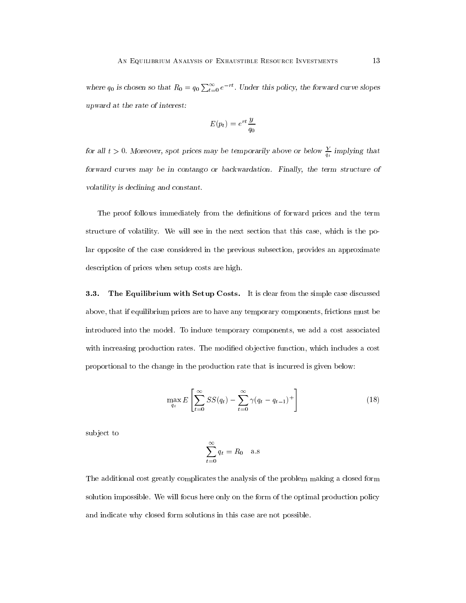where  $q_0$  is chosen so that  $R_0 = q_0 \sum_{t=0}^{\infty} e^{-rt}$ . Under this policy, the forward curve slopes upward at the rate of interest:

$$
E(p_t) = e^{rt} \frac{y}{q_0}
$$

for all  $t > 0$ . Moreover, spot prices may be temporarily above or below  $\frac{1}{q_t}$  implying that forward curves may be in contango or backwardation. Finally, the term structure of volatility is declining and constant.

The proof follows immediately from the definitions of forward prices and the term structure of volatility. We will see in the next section that this case, which is the polar opposite of the case considered in the previous subsection, provides an approximate description of prices when setup costs are high.

3.3. The Equilibrium with Setup Costs. It is clear from the simple case discussed above, that if equilibrium prices are to have any temporary components, frictions must be introduced into the model. To induce temporary components, we add a cost associated with increasing production rates. The modified objective function, which includes a cost proportional to the change in the production rate that is incurred is given below:

$$
\max_{q_t} E\left[\sum_{t=0}^{\infty} SS(q_t) - \sum_{t=0}^{\infty} \gamma(q_t - q_{t-1})^+\right]
$$
\n(18)

subject to

$$
\sum_{t=0}^{\infty} q_t = R_0 \quad \text{a.s}
$$

The additional cost greatly complicates the analysis of the problem making a closed form solution impossible. We will focus here only on the form of the optimal production policy and indicate why closed form solutions in this case are not possible.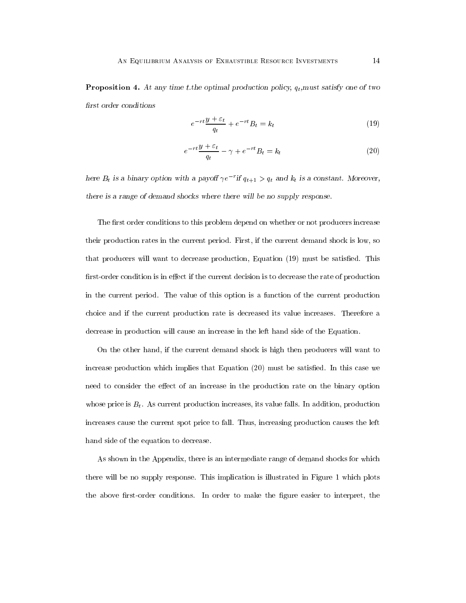**Proposition 4.** At any time t.the optimal production policy,  $q_t$ ,must satisfy one of two first order conditions

$$
e^{-rt}\frac{y+\varepsilon_t}{q_t} + e^{-rt}B_t = k_t \tag{19}
$$

$$
e^{-rt}\frac{y+\varepsilon_t}{q_t} - \gamma + e^{-rt}B_t = k_t \tag{20}
$$

here  $D_t$  is a binary option with a payon  $\gamma e^{-\gamma}$  if  $q_{t+1} > q_t$  and  $\kappa_t$  is a constant. Moreover, there is a range of demand shocks where there will be no supply response.

The first order conditions to this problem depend on whether or not producers increase their production rates in the current period. First, if the current demand shock is low, so that producers will want to decrease production, Equation (19) must be satisfied. This first-order condition is in effect if the current decision is to decrease the rate of production in the current period. The value of this option is a function of the current production choice and if the current production rate is decreased its value increases. Therefore a decrease in production will cause an increase in the left hand side of the Equation.

On the other hand, if the current demand shock is high then producers will want to increase production which implies that Equation  $(20)$  must be satisfied. In this case we need to consider the effect of an increase in the production rate on the binary option whose price is  $B_t$ . As current production increases, its value falls. In addition, production increases cause the current spot price to fall. Thus, increasing production causes the left hand side of the equation to decrease.

As shown in the Appendix, there is an intermediate range of demand shocks for which there will be no supply response. This implication is illustrated in Figure 1 which plots the above first-order conditions. In order to make the figure easier to interpret, the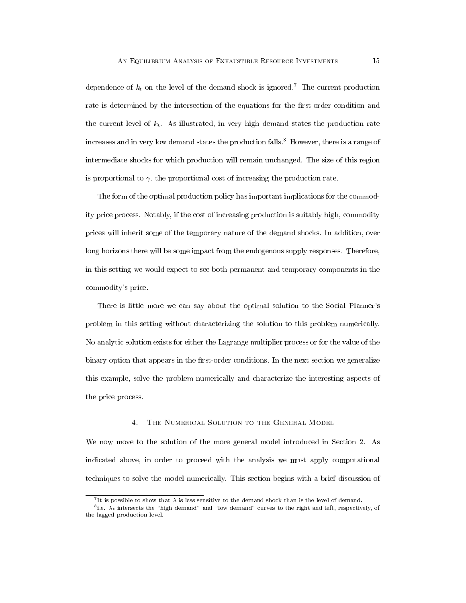dependence of  $k_t$  on the level of the demand shock is ignored.<sup>7</sup> The current production rate is determined by the intersection of the equations for the first-order condition and the current level of  $k_t$ . As illustrated, in very high demand states the production rate increases and in very low demand states the production falls.<sup>8</sup> However, there is a range of intermediate shocks for which production will remain unchanged. The size of this region is proportional to  $\gamma$ , the proportional cost of increasing the production rate.

The form of the optimal production policy has important implications for the commodity price process. Notably, if the cost of increasing production is suitably high, commodity prices will inherit some of the temporary nature of the demand shocks. In addition, over long horizons there will be some impact from the endogenous supply responses. Therefore, in this setting we would expect to see both permanent and temporary components in the commodity's price.

There is little more we can say about the optimal solution to the Social Planner's problem in this setting without characterizing the solution to this problem numerically. No analytic solution exists for either the Lagrange multiplier process or for the value of the binary option that appears in the first-order conditions. In the next section we generalize this example, solve the problem numerically and characterize the interesting aspects of the price process.

### THE NUMERICAL SOLUTION TO THE GENERAL MODEL  $4.$

We now move to the solution of the more general model introduced in Section 2. As indicated above, in order to proceed with the analysis we must apply computational techniques to solve the model numerically. This section begins with a brief discussion of

<sup>7</sup> It is possible to show that is less sensitive to the demand shock than is the level of demand.

<sup>-</sup>i.e.  $\lambda_t$  intersects the  $\hbox{~nign~dennand~}$  and low demand curves to the right and left, respectively, of the lagged production level.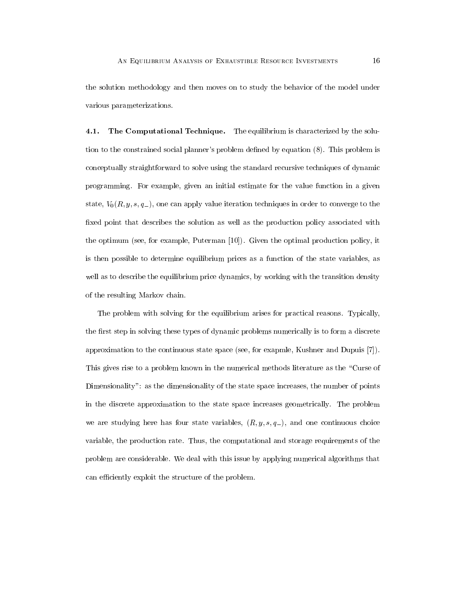the solution methodology and then moves on to study the behavior of the model under various parameterizations.

 $4.1.$ The Computational Technique. The equilibrium is characterized by the solution to the constrained social planner's problem dened by equation (8). This problem is conceptually straightforward to solve using the standard recursive techniques of dynamic programming. For example, given an initial estimate for the value function in a given state,  $V_0(R, y, s, q_-)$ , one can apply value iteration techniques in order to converge to the fixed point that describes the solution as well as the production policy associated with the optimum (see, for example, Puterman [10]). Given the optimal production policy, it is then possible to determine equilibrium prices as a function of the state variables, as well as to describe the equilibrium price dynamics, by working with the transition density of the resulting Markov chain.

The problem with solving for the equilibrium arises for practical reasons. Typically, the first step in solving these types of dynamic problems numerically is to form a discrete approximation to the continuous state space (see, for exapmle, Kushner and Dupuis [7]). This gives rise to a problem known in the numerical methods literature as the "Curse of Dimensionality": as the dimensionality of the state space increases, the number of points in the discrete approximation to the state space increases geometrically. The problem we are studying here has four state variables,  $(R, y, s, q<sub>-</sub>)$ , and one continuous choice variable, the production rate. Thus, the computational and storage requirements of the problem are considerable. We deal with this issue by applying numerical algorithms that can efficiently exploit the structure of the problem.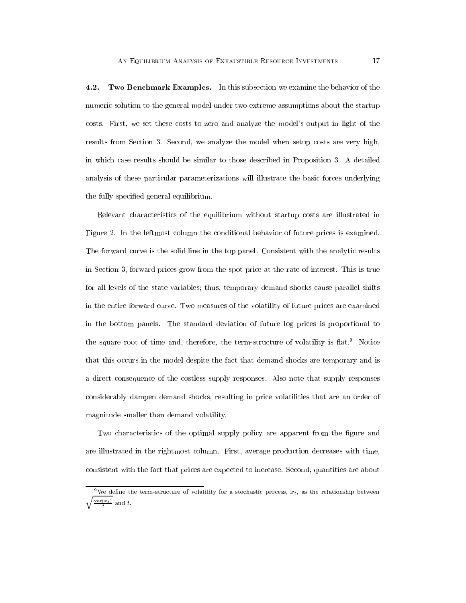4.2. Two Benchmark Examples. In this subsection we examine the behavior of the numeric solution to the general model under two extreme assumptions about the startup costs. First, we set these costs to zero and analyze the model's output in light of the results from Section 3. Second, we analyze the model when setup costs are very high, in which case results should be similar to those described in Proposition 3. A detailed analysis of these particular parameterizations will illustrate the basic forces underlying the fully specied general equilibrium.

Relevant characteristics of the equilibrium without startup costs are illustrated in Figure 2. In the leftmost column the conditional behavior of future prices is examined. The forward curve is the solid line in the top panel. Consistent with the analytic results in Section 3, forward prices grow from the spot price at the rate of interest. This is true for all levels of the state variables; thus, temporary demand shocks cause parallel shifts in the entire forward curve. Two measures of the volatility of future prices are examined in the bottom panels. The standard deviation of future log prices is proportional to the square root of time and, therefore, the term-structure of volatility is  $\text{flat.}^9$ . Notice that this occurs in the model despite the fact that demand shocks are temporary and is a direct consequence of the costless supply responses. Also note that supply responses considerably dampen demand shocks, resulting in price volatilities that are an order of magnitude smaller than demand volatility.

Two characteristics of the optimal supply policy are apparent from the figure and are illustrated in the rightmost column. First, average production decreases with time, consistent with the fact that prices are expected to increase. Second, quantities are about

<sup>&</sup>lt;sup>9</sup>We define the term-structure of volatility for a stochastic process,  $x_t$ , as the relationship between  $\frac{v(t)}{t}$  and t.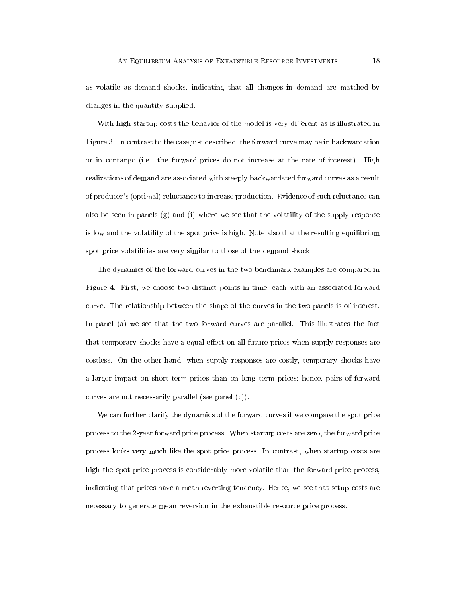as volatile as demand shocks, indicating that all changes in demand are matched by changes in the quantity supplied.

With high startup costs the behavior of the model is very different as is illustrated in Figure 3. In contrast to the case just described, the forward curve may be in backwardation or in contango (i.e. the forward prices do not increase at the rate of interest). High realizations of demand are associated with steeply backwardated forward curves as a result of producer's (optimal) reluctance to increase production. Evidence of such reluctance can also be seen in panels (g) and (i) where we see that the volatility of the supply response is low and the volatility of the spot price is high. Note also that the resulting equilibrium spot price volatilities are very similar to those of the demand shock.

The dynamics of the forward curves in the two benchmark examples are compared in Figure 4. First, we choose two distinct points in time, each with an associated forward curve. The relationship between the shape of the curves in the two panels is of interest. In panel (a) we see that the two forward curves are parallel. This illustrates the fact that temporary shocks have a equal effect on all future prices when supply responses are costless. On the other hand, when supply responses are costly, temporary shocks have a larger impact on short-term prices than on long term prices; hence, pairs of forward curves are not necessarily parallel (see panel (c)).

We can further clarify the dynamics of the forward curves if we compare the spot price process to the 2-year forward price process. When startup costs are zero, the forward price process looks very much like the spot price process. In contrast, when startup costs are high the spot price process is considerably more volatile than the forward price process, indicating that prices have a mean reverting tendency. Hence, we see that setup costs are necessary to generate mean reversion in the exhaustible resource price process.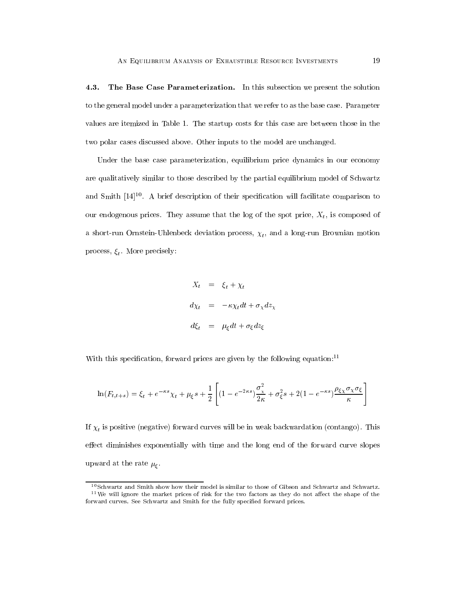4.3. The Base Case Parameterization. In this subsection we present the solution to the general model under a parameterization that we refer to as the base case. Parameter values are itemized in Table 1. The startup costs for this case are between those in the two polar cases discussed above. Other inputs to the model are unchanged.

Under the base case parameterization, equilibrium price dynamics in our economy are qualitatively similar to those described by the partial equilibrium model of Schwartz and  $\texttt{Smith} \texttt{[14]^-}$ . A brief description of their specification will facilitate comparison to our endogenous prices. They assume that the log of the spot price,  $X_t$ , is composed of and  $\mathbf{r}$  and a long-run Brownian motion process, the state  $\mathbf{r}$ process, . More precisely:

$$
X_t = \xi_t + \chi_t
$$
  
\n
$$
d\chi_t = -\kappa \chi_t dt + \sigma_\chi dz_\chi
$$
  
\n
$$
d\xi_t = \mu_\xi dt + \sigma_\xi dz_\xi
$$

With this specification, forward prices are given by the following equation: $^{11}$ 

$$
\ln(F_{t,t+s}) = \xi_t + e^{-\kappa s} \chi_t + \mu_{\xi} s + \frac{1}{2} \left[ (1 - e^{-2\kappa s}) \frac{\sigma_x^2}{2\kappa} + \sigma_{\xi}^2 s + 2(1 - e^{-\kappa s}) \frac{\rho_{\xi\chi}\sigma_{\chi}\sigma_{\xi}}{\kappa} \right]
$$

is positive (negative) for will be in weak backward curves will be in weak backward  $\sim$  0.1 contains the interval backward curves will be in weak backward curves will be in weak backward curves will be in the contact of effect diminishes exponentially with time and the long end of the forward curve slopes upward at the rate  $\mu_{\xi}$ .

 $^{10}\rm{Schwartz}$  and Smith show how their model is similar to those of Gibson and Schwartz and Schwartz.  $11$ We will ignore the market prices of risk for the two factors as they do not affect the shape of the forward curves. See Schwartz and Smith for the fully specied forward prices.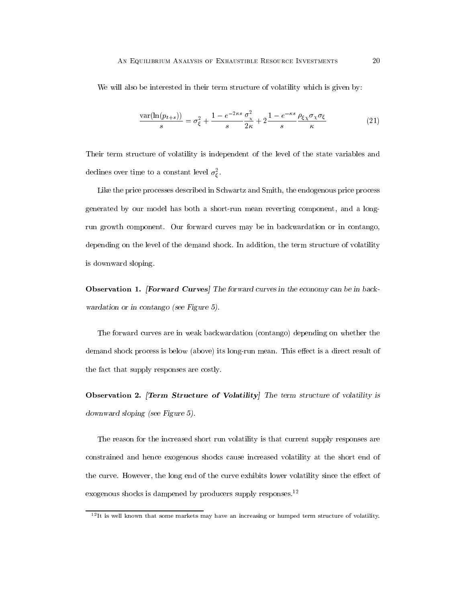We will also be interested in their term structure of volatility which is given by:

$$
\frac{\text{var}(\ln(p_{t+s}))}{s} = \sigma_{\xi}^2 + \frac{1 - e^{-2\kappa s}}{s} \frac{\sigma_{\chi}^2}{2\kappa} + 2 \frac{1 - e^{-\kappa s}}{s} \frac{\rho_{\xi\chi}\sigma_{\chi}\sigma_{\xi}}{\kappa}
$$
(21)

Their term structure of volatility is independent of the level of the state variables and declines over time to a constant level  $\sigma_{\varepsilon}$ .

Like the price processes described in Schwartz and Smith, the endogenous price process generated by our model has both a short-run mean reverting component, and a longrun growth component. Our forward curves may be in backwardation or in contango, depending on the level of the demand shock. In addition, the term structure of volatility is downward sloping.

Observation 1. [Forward Curves] The forward curves in the economy can be in back wardation or in contango (see Figure 5).

The forward curves are in weak backwardation (contango) depending on whether the demand shock process is below (above) its long-run mean. This effect is a direct result of the fact that supply responses are costly.

Observation 2. [Term Structure of Volatility] The term structure of volatility is downward sloping (see Figure 5).

The reason for the increased short run volatility is that current supply responses are constrained and hence exogenous shocks cause increased volatility at the short end of the curve. However, the long end of the curve exhibits lower volatility since the effect of exogenous shocks is dampened by producers supply responses.<sup>12</sup>

 $12$ It is well known that some markets may have an increasing or humped term structure of volatility.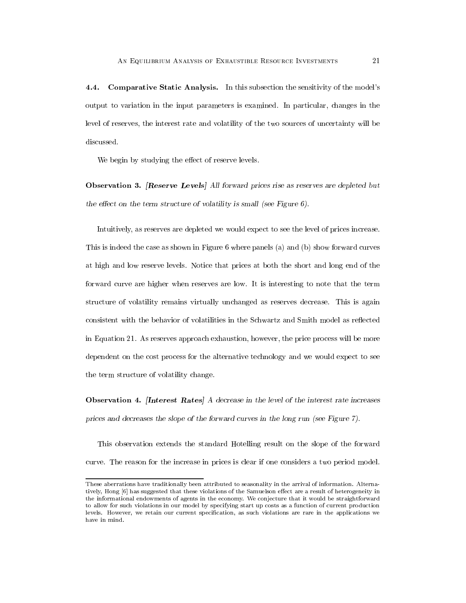4.4. Comparative Static Analysis. In this subsection the sensitivity of the model's output to variation in the input parameters is examined. In particular, changes in the level of reserves, the interest rate and volatility of the two sources of uncertainty will be discussed.

We begin by studying the effect of reserve levels.

Observation 3. [Reserve Levels] All forward prices rise as reserves are depleted but the effect on the term structure of volatility is small (see Figure  $6$ ).

Intuitively, as reserves are depleted we would expect to see the level of prices increase. This is indeed the case as shown in Figure 6 where panels (a) and (b) show forward curves at high and low reserve levels. Notice that prices at both the short and long end of the forward curve are higher when reserves are low. It is interesting to note that the term structure of volatility remains virtually unchanged as reserves decrease. This is again consistent with the behavior of volatilities in the Schwartz and Smith model as reflected in Equation 21. As reserves approach exhaustion, however, the price process will be more dependent on the cost process for the alternative technology and we would expect to see the term structure of volatility change.

Observation 4. [Interest Rates] A decrease in the level of the interest rate increases prices and decreases the slope of the forward curves in the long run (see Figure 7).

This observation extends the standard Hotelling result on the slope of the forward curve. The reason for the increase in prices is clear if one considers a two period model.

These aberrations have traditionally been attributed to seasonality in the arrival of information. Alternatively, Hong [6] has suggested that these violations of the Samuelson effect are a result of heterogeneity in the informational endowments of agents in the economy. We conjecture that it would be straightforward to allow for such violations in our model by specifying start up costs as a function of current production levels. However, we retain our current specication, as such violations are rare in the applications we have in mind.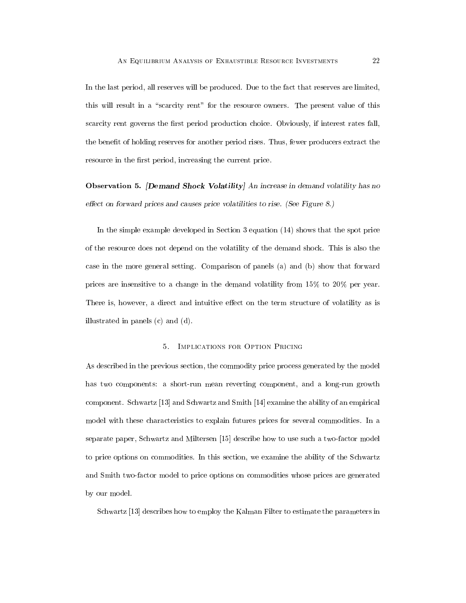In the last period, all reserves will be produced. Due to the fact that reserves are limited, this will result in a "scarcity rent" for the resource owners. The present value of this scarcity rent governs the first period production choice. Obviously, if interest rates fall, the benet of holding reserves for another period rises. Thus, fewer producers extract the resource in the first period, increasing the current price.

Observation 5. [Demand Shock Volatility] An increase in demand volatility has no effect on forward prices and causes price volatilities to rise. (See Figure 8.)

In the simple example developed in Section 3 equation (14) shows that the spot price of the resource does not depend on the volatility of the demand shock. This is also the case in the more general setting. Comparison of panels (a) and (b) show that forward prices are insensitive to a change in the demand volatility from 15% to 20% per year. There is, however, a direct and intuitive effect on the term structure of volatility as is illustrated in panels (c) and (d).

#### $5<sub>1</sub>$ IMPLICATIONS FOR OPTION PRICING

As described in the previous section, the commodity price process generated by the model has two components: a short-run mean reverting component, and a long-run growth component. Schwartz [13] and Schwartz and Smith [14] examine the ability of an empirical model with these characteristics to explain futures prices for several commodities. In a separate paper, Schwartz and Miltersen [15] describe how to use suchatwo-factor model to price options on commodities. In this section, we examine the ability of the Schwartz and Smith two-factor model to price options on commodities whose prices are generated by our model.

Schwartz [13] describes how to employ the Kalman Filter to estimate the parameters in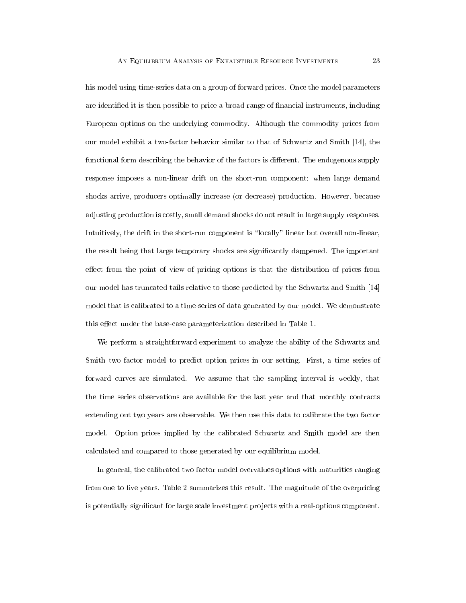his model using time-series data on a group of forward prices. Once the model parameters are identified it is then possible to price a broad range of financial instruments, including European options on the underlying commodity. Although the commodity prices from our model exhibit a two-factor behavior similar to that of Schwartz and Smith [14], the functional form describing the behavior of the factors is different. The endogenous supply response imposes a non-linear drift on the short-run component; when large demand shocks arrive, producers optimally increase (or decrease) production. However, because adjusting production is costly, small demand shocks do not result in large supply responses. Intuitively, the drift in the short-run component is "locally" linear but overall non-linear, the result being that large temporary shocks are signicantly dampened. The important effect from the point of view of pricing options is that the distribution of prices from our model has truncated tails relative to those predicted by the Schwartz and Smith [14] model that is calibrated to a time-series of data generated by our model. We demonstrate this effect under the base-case parameterization described in Table 1.

We perform a straightforward experiment to analyze the ability of the Schwartz and Smith two factor model to predict option prices in our setting. First, a time series of forward curves are simulated. We assume that the sampling interval is weekly, that the time series observations are available for the last year and that monthly contracts extending out two years are observable. We then use this data to calibrate the two factor model. Option prices implied by the calibrated Schwartz and Smith model are then calculated and compared to those generated by our equilibrium model.

In general, the calibrated two factor model overvalues options with maturities ranging from one to five years. Table 2 summarizes this result. The magnitude of the overpricing is potentially significant for large scale investment projects with a real-options component.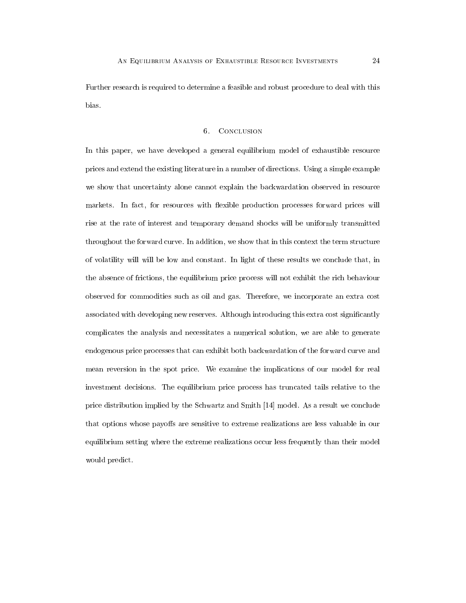Further research is required to determine a feasible and robust procedure to deal with this bias.

### 6. CONCLUSION

In this paper, we have developed a general equilibrium model of exhaustible resource prices and extend the existing literature in a number of directions. Using a simple example we show that uncertainty alone cannot explain the backwardation observed in resource markets. In fact, for resources with flexible production processes forward prices will rise at the rate of interest and temporary demand shocks will be uniformly transmitted throughout the forward curve. In addition, we show that in this context the term structure of volatility will will be low and constant. In light of these results we conclude that, in the absence of frictions, the equilibrium price process will not exhibit the rich behaviour observed for commodities such as oil and gas.Therefore, we incorporate an extra cost associated with developing new reserves. Although introducing this extra cost significantly complicates the analysis and necessitates a numerical solution, we are able to generate endogenous price processes that can exhibit both backwardation of the forward curve and mean reversion in the spot price. We examine the implications of our model for real investment decisions. The equilibrium price process has truncated tails relative to the price distribution implied by the Schwartz and Smith [14] model. As a result we conclude that options whose payoffs are sensitive to extreme realizations are less valuable in our equilibrium setting where the extreme realizations occur less frequently than their model would predict.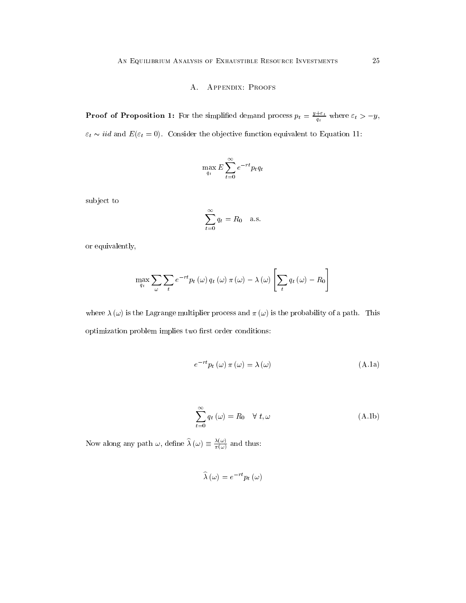# A. Appendix: Proofs

**Proof of Proposition 1:** For the simplified demand process  $p_t = \frac{y_t - t}{q_t}$  where  $\varepsilon_t > -y$ ,  $\varepsilon_t \sim iid$  and  $E(\varepsilon_t = 0).$  Consider the objective function equivalent to Equation 11:

$$
\max_{q_t} E\sum_{t=0}^{\infty} e^{-rt} p_t q_t
$$

subject to

$$
\sum_{t=0}^{\infty} q_t = R_0 \quad \text{a.s.}
$$

or equivalently,

$$
\max_{q_t} \sum_{\omega} \sum_{t} e^{-rt} p_t(\omega) q_t(\omega) \pi(\omega) - \lambda(\omega) \left[ \sum_{t} q_t(\omega) - R_0 \right]
$$

where  $\lambda(\omega)$  is the Lagrange multiplier process and  $\pi(\omega)$  is the probability of a path. This optimization problem implies two first order conditions:

$$
e^{-rt}p_t(\omega)\pi(\omega) = \lambda(\omega)
$$
 (A.1a)

$$
\sum_{t=0}^{\infty} q_t(\omega) = R_0 \quad \forall \ t, \omega \tag{A.1b}
$$

Now along any path  $\omega$ , define  $\lambda(\omega) \equiv \frac{\omega}{\pi(\omega)}$  and thus:

$$
\widehat{\lambda}\left(\omega\right)=e^{-rt}p_{t}\left(\omega\right)
$$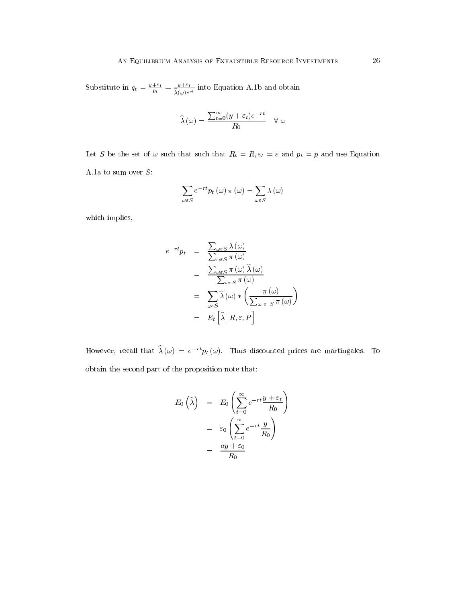Substitute in  $q_t = \frac{y_t - t}{p_t} = \frac{y_t - t}{\lambda(\omega)e^{rt}}$  into Equation A.1b and obtain

$$
\widehat{\lambda}(\omega) = \frac{\sum_{t=0}^{\infty} (y + \varepsilon_t) e^{-rt}}{R_0} \quad \forall \omega
$$

Let S be the set of  $\omega$  such that such that  $R_t = R$ ,  $\varepsilon_t = \varepsilon$  and  $p_t = p$  and use Equation A.1a to sum over  $S$ :

$$
\sum_{\omega \in S} e^{-rt} p_t(\omega) \pi(\omega) = \sum_{\omega \in S} \lambda(\omega)
$$

which implies,

$$
e^{-rt}p_t = \frac{\sum_{\omega \in S} \lambda(\omega)}{\sum_{\omega \in S} \pi(\omega)}
$$
  
= 
$$
\frac{\sum_{\omega \in S} \pi(\omega) \widehat{\lambda}(\omega)}{\sum_{\omega \in S} \pi(\omega)}
$$
  
= 
$$
\sum_{\omega \in S} \widehat{\lambda}(\omega) * \left(\frac{\pi(\omega)}{\sum_{\omega \in S} \pi(\omega)}\right)
$$
  
= 
$$
E_t \left[\widehat{\lambda} | R, \varepsilon, P\right]
$$

However, recall that  $\hat{\lambda} (\omega) = e^{-rt} p_t (\omega)$ . Thus discounted prices are martingales. To obtain the second part of the proposition note that:

$$
E_0\left(\widehat{\lambda}\right) = E_0\left(\sum_{t=0}^{\infty} e^{-rt} \frac{y+\varepsilon_t}{R_0}\right)
$$
  
=  $\varepsilon_0 \left(\sum_{t=0}^{\infty} e^{-rt} \frac{y}{R_0}\right)$   
=  $\frac{ay+\varepsilon_0}{R_0}$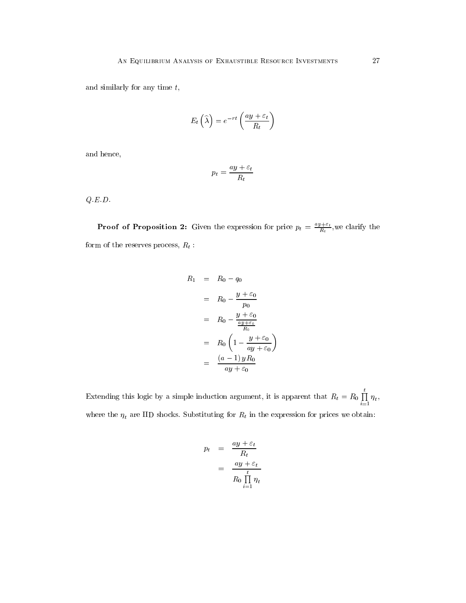and similarly for any time  $t$ ,

$$
E_t\left(\widehat{\lambda}\right) = e^{-rt}\left(\frac{ay + \varepsilon_t}{R_t}\right)
$$

and hence,

$$
p_t = \frac{ay + \varepsilon_t}{R_t}
$$

 $Q\ {\cal E}.D.$ 

**Proof of Proposition 2:** Given the expression for price  $p_t = \frac{2Q_t - 1}{R_t}$ , we clarify the form of the reserves process,  $R_t$ :

$$
R_1 = R_0 - q_0
$$
  
=  $R_0 - \frac{y + \varepsilon_0}{p_0}$   
=  $R_0 - \frac{y + \varepsilon_0}{\frac{ay + \varepsilon_0}{R_0}}$   
=  $R_0 \left(1 - \frac{y + \varepsilon_0}{ay + \varepsilon_0}\right)$   
=  $\frac{(a - 1) y R_0}{ay + \varepsilon_0}$ 

Extending this logic by a simple induction argument, it is apparent that  $R_t = R_0 \prod_{i=1}^{n} \eta_t$ ,  $\mathcal{L}$ where the  $t \rightarrow t$  shocks. Substituting for Rt in the expression for prices we obtain:

$$
p_t = \frac{ay + \varepsilon_t}{R_t}
$$
  
= 
$$
\frac{ay + \varepsilon_t}{R_0 \prod_{i=1}^t \eta_t}
$$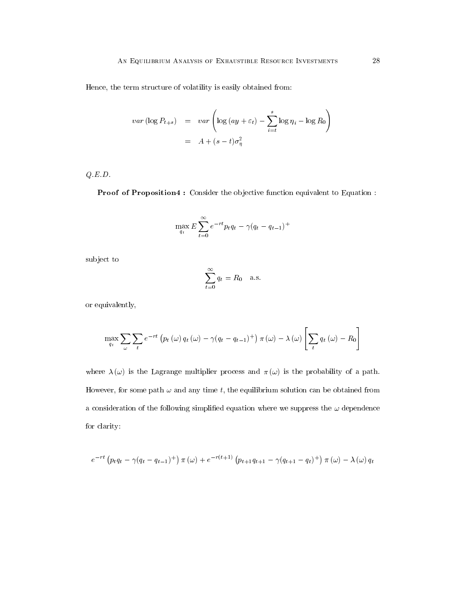Hence, the term structure of volatility is easily obtained from:

$$
var\left(\log P_{t+s}\right) = var\left(\log\left(ay + \varepsilon_t\right) - \sum_{i=t}^{s} \log \eta_i - \log R_0\right)
$$

$$
= A + (s - t)\sigma_{\eta}^2
$$

 $Q.E.D.$ 

Proof of Proposition4 : Consider the objective function equivalent to Equation :

$$
\max_{q_t} E\sum_{t=0}^{\infty} e^{-rt} p_t q_t - \gamma (q_t - q_{t-1})^+
$$

subject to

$$
\sum_{t=0}^{\infty} q_t = R_0 \quad \text{a.s.}
$$

or equivalently,

$$
\max_{q_t} \sum_{\omega} \sum_{t} e^{-rt} \left( p_t(\omega) q_t(\omega) - \gamma (q_t - q_{t-1})^+ \right) \pi(\omega) - \lambda(\omega) \left[ \sum_t q_t(\omega) - R_0 \right]
$$

where  $\lambda(\omega)$  is the Lagrange multiplier process and  $\pi(\omega)$  is the probability of a path. However, for some path  $\omega$  and any time t, the equilibrium solution can be obtained from a consideration of the following simplified equation where we suppress the  $\omega$  dependence for clarity:

$$
e^{-rt}(p_tq_t - \gamma(q_t - q_{t-1})^+) \pi(\omega) + e^{-r(t+1)} (p_{t+1}q_{t+1} - \gamma(q_{t+1} - q_t)^+) \pi(\omega) - \lambda(\omega) q_t
$$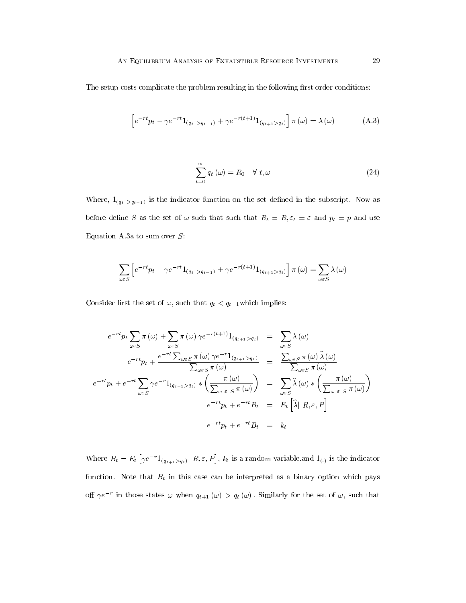The setup costs complicate the problem resulting in the following first order conditions:

$$
\[e^{-rt}p_t - \gamma e^{-rt}1_{(q_t > q_{t-1})} + \gamma e^{-r(t+1)}1_{(q_{t+1} > q_t)}\]\pi(\omega) = \lambda(\omega) \tag{A.3}
$$

$$
\sum_{t=0}^{\infty} q_t(\omega) = R_0 \quad \forall \ t, \omega \tag{24}
$$

Where,  $1_{(q_t > q_{t-1})}$  is the indicator function on the set defined in the subscript. Now as before define S as the set of  $\omega$  such that such that  $R_t = R$ ,  $\varepsilon_t = \varepsilon$  and  $p_t = p$  and use Equation A.3a to sum over  $S$ :

$$
\sum_{\omega \in S} \left[ e^{-rt} p_t - \gamma e^{-rt} 1_{(q_t > q_{t-1})} + \gamma e^{-r(t+1)} 1_{(q_{t+1} > q_t)} \right] \pi(\omega) = \sum_{\omega \in S} \lambda(\omega)
$$

Consider first the set of  $\omega,$  such that  $q_t < q_{t-1}$  which implies:

$$
e^{-rt}p_t \sum_{\omega \in S} \pi(\omega) + \sum_{\omega \in S} \pi(\omega) \gamma e^{-r(t+1)} 1_{(q_{t+1} > q_t)} = \sum_{\omega \in S} \lambda(\omega)
$$
  
\n
$$
e^{-rt}p_t + \frac{e^{-rt} \sum_{\omega \in S} \pi(\omega) \gamma e^{-r} 1_{(q_{t+1} > q_t)}}{\sum_{\omega \in S} \pi(\omega)} = \frac{\sum_{\omega \in S} \pi(\omega) \hat{\lambda}(\omega)}{\sum_{\omega \in S} \pi(\omega)}
$$
  
\n
$$
e^{-rt}p_t + e^{-rt} \sum_{\omega \in S} \gamma e^{-r} 1_{(q_{t+1} > q_t)} * \left(\frac{\pi(\omega)}{\sum_{\omega \in S} \pi(\omega)}\right) = \sum_{\omega \in S} \hat{\lambda}(\omega) * \left(\frac{\pi(\omega)}{\sum_{\omega \in S} \pi(\omega)}\right)
$$
  
\n
$$
e^{-rt}p_t + e^{-rt}B_t = E_t \left[\hat{\lambda} | R, \varepsilon, P\right]
$$
  
\n
$$
e^{-rt}p_t + e^{-rt}B_t = k_t
$$

Where  $B_t = E_t [ \gamma e^{-r} 1_{(q_{t+1} > q_t)} | R, \varepsilon, P], k_t$  is a random variable. and  $1_{(.)}$  is the indicator function. Note that  $B_t$  in this case can be interpreted as a binary option which pays on  $\gamma e$  in those states  $\omega$  when  $q_{t+1}(\omega) > q_t(\omega)$ . Similarly for the set of  $\omega$ , such that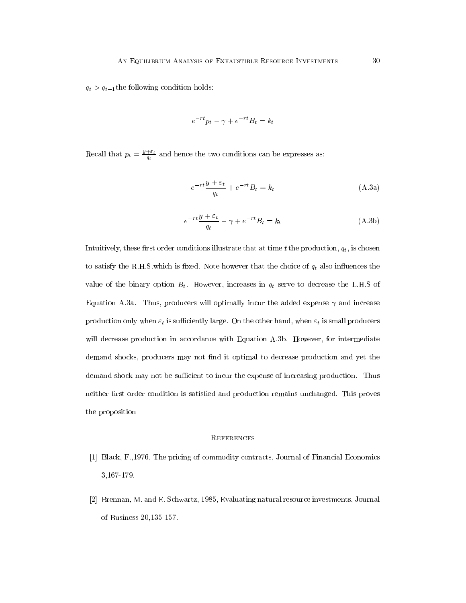$q_t > q_{t-1}$ the following condition holds:

$$
e^{-rt}p_t - \gamma + e^{-rt}B_t = k_t
$$

Recall that  $p_t = \frac{y_{t-1}}{q_t}$  and hence the two conditions can be expresses as:

$$
e^{-rt}\frac{y+\varepsilon_t}{q_t} + e^{-rt}B_t = k_t
$$
\n(A.3a)

$$
e^{-rt}\frac{y+\varepsilon_t}{q_t} - \gamma + e^{-rt}B_t = k_t
$$
\n(A.3b)

Intuitively, these first order conditions illustrate that at time t the production,  $q_t$ , is chosen to satisfy the R.H.S.which is fixed. Note however that the choice of  $q_t$  also influences the value of the binary option  $B_t$ . However, increases in  $q_t$  serve to decrease the L.H.S of Equation A.3a. Thus, producers will optimally incur the added expense  $\gamma$  and increase production only when  $\varepsilon_t$  is sufficiently large. On the other hand, when  $\varepsilon_t$  is small producers will decrease production in accordance with Equation A.3b. However, for intermediate demand shocks, producers may not find it optimal to decrease production and yet the demand shock may not be sufficient to incur the expense of increasing production. Thus neither first order condition is satisfied and production remains unchanged. This proves the proposition

## **REFERENCES**

- [1] Black, F.,1976, The pricing of commodity contracts, Journal of Financial Economics 3,167-179.
- [2] Brennan, M. and E. Schwartz, 1985, Evaluating natural resource investments, Journal of Business 20,135-157.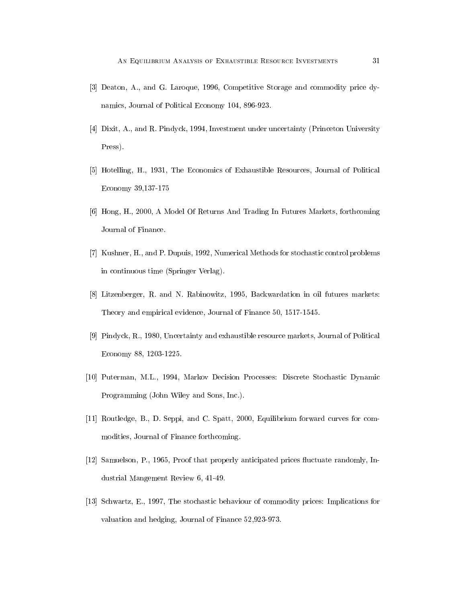- [3] Deaton, A., and G. Laroque, 1996, Competitive Storage and commodity price dynamics, Journal of Political Economy 104, 896-923.
- [4] Dixit, A., and R. Pindyck, 1994, Investment under uncertainty (Princeton University Press).
- [5] Hotelling, H., 1931, The Economics of Exhaustible Resources, Journal of Political Economy 39,137-175
- [6] Hong, H., 2000, A Model Of Returns And Trading In Futures Markets, forthcoming Journal of Finance.
- [7] Kushner, H., and P. Dupuis, 1992, Numerical Methods for stochastic control problems in continuous time (Springer Verlag).
- [8] Litzenberger, R. and N. Rabinowitz, 1995, Backwardation in oil futures markets: Theory and empirical evidence, Journal of Finance 50, 1517-1545.
- [9] Pindyck, R., 1980, Uncertainty and exhaustible resource markets, Journal of Political Economy 88, 1203-1225.
- [10] Puterman, M.L., 1994, Markov Decision Processes: Discrete Stochastic Dynamic Programming (John Wiley and Sons, Inc.).
- [11] Routledge, B., D. Seppi, and C. Spatt, 2000, Equilibrium forward curves for commodities, Journal of Finance forthcoming.
- [12] Samuelson, P., 1965, Proof that properly anticipated prices fluctuate randomly, Industrial Mangement Review 6, 41-49.
- [13] Schwartz, E., 1997, The stochastic behaviour of commodity prices: Implications for valuation and hedging, Journal of Finance 52,923-973.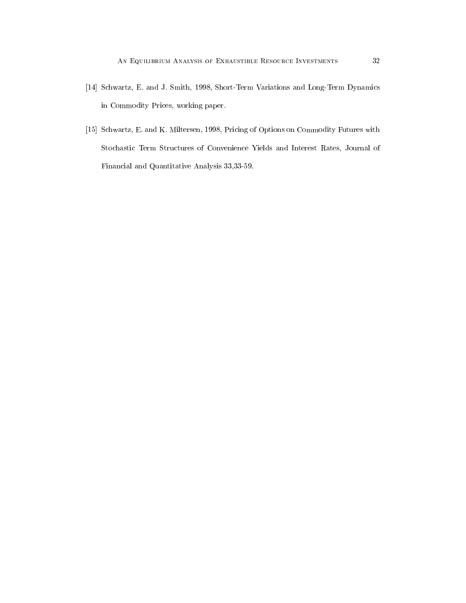- [14] Schwartz, E. and J. Smith, 1998, Short-Term Variations and Long-Term Dynamics in Commodity Prices, working paper.
- [15] Schwartz, E. and K. Miltersen, 1998, Pricing of Options on Commodity Futures with Stochastic Term Structures of Convenience Yields and Interest Rates, Journal of Financial and Quantitative Analysis 33,33-59.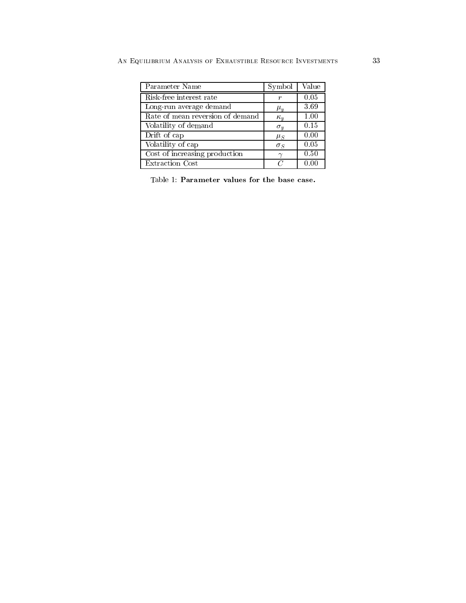| AN EQUILIBRIUM ANALYSIS OF EXHAUSTIBLE RESOURCE INVESTMENTS |  |
|-------------------------------------------------------------|--|

| Parameter Name                   | Symbol     | Value |  |
|----------------------------------|------------|-------|--|
| Risk-free interest rate          | r          | 0.05  |  |
| Long-run average demand          | $\mu_u$    | 3.69  |  |
| Rate of mean reversion of demand | $\kappa_u$ | 1.00  |  |
| Volatility of demand             | $\sigma_y$ | 0.15  |  |
| Drift of cap                     | $\mu_S$    | 0.00  |  |
| Volatility of cap                | $\sigma_S$ | 0.05  |  |
| Cost of increasing production    | $\sim$     | 0.50  |  |
| Extraction Cost                  | $\epsilon$ | 0.00  |  |

Table 1: Parameter values for the base case.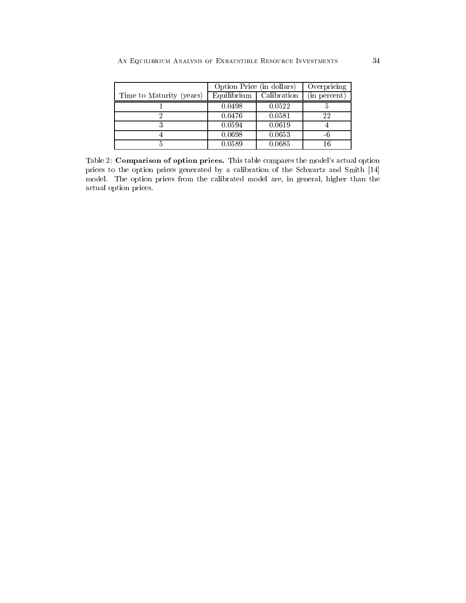|                          | Option Price (in dollars) |             | Overpricing  |
|--------------------------|---------------------------|-------------|--------------|
| Time to Maturity (years) | Equilibrium               | Calibration | (in percent) |
|                          | 0.0498                    | 0.0522      |              |
|                          | 0.0476                    | 0.0581      | 22           |
|                          | 0.0594                    | 0.0619      |              |
|                          | 0.0698                    | 0.0653      |              |
|                          | 0.0589                    | 0.0685      | 16           |

Table 2: Comparison of option prices. This table compares the model's actual option prices to the option prices generated by a calibration of the Schwartz and Smith [14] model. The option prices from the calibrated model are, in general, higher than the actual option prices.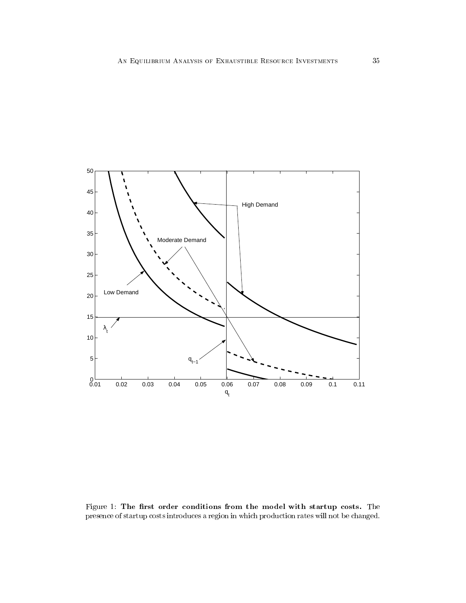

Figure 1: The first order conditions from the model with startup costs. The presence of startup costs introduces a region in which production rates will not be changed.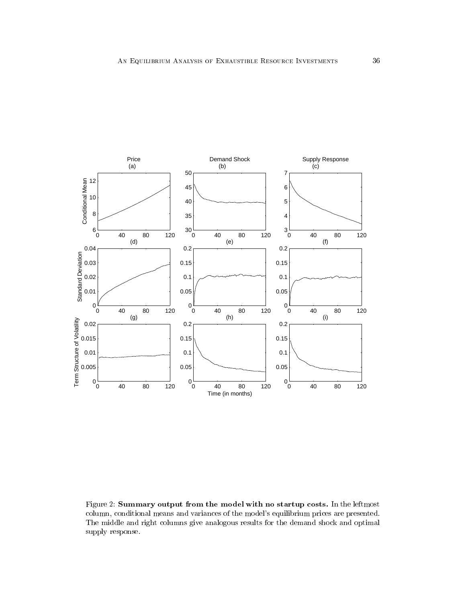

Figure 2: Summary output from the model with no startup costs. In the leftmost column, conditional means and variances of the model's equilibrium prices are presented. The middle and right columns give analogous results for the demand shock and optimal supply response.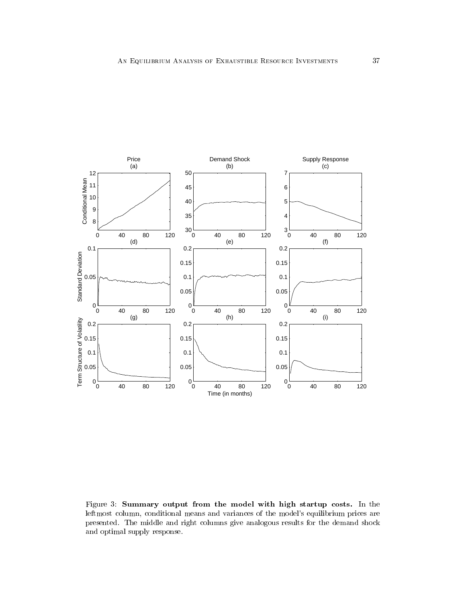

Figure 3: Summary output from the model with high startup costs. In the leftmost column, conditional means and variances of the model's equilibrium prices are presented. The middle and right columns give analogous results for the demand shock and optimal supply response.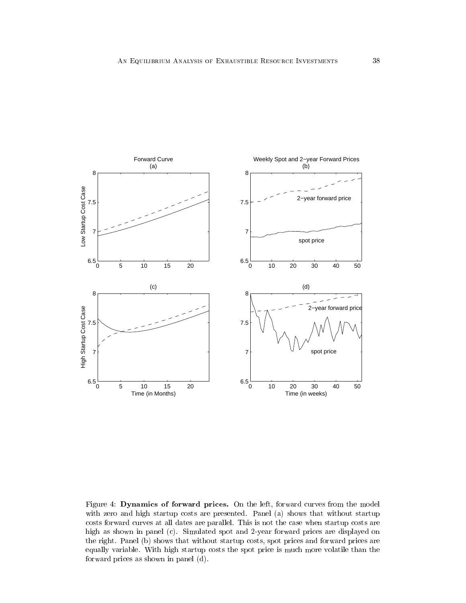

Figure 4: Dynamics of forward prices. On the left, forward curves from the model with zero and high startup costs are presented. Panel (a) shows that without startup costs forward curves at all dates are parallel. This is not the case when startup costs are high as shown in panel (c). Simulated spot and 2-year forward prices are displayed on the right. Panel (b) shows that without startup costs, spot prices and forward prices are equally variable. With high startup costs the spot price is much more volatile than the forward prices as shown in panel (d).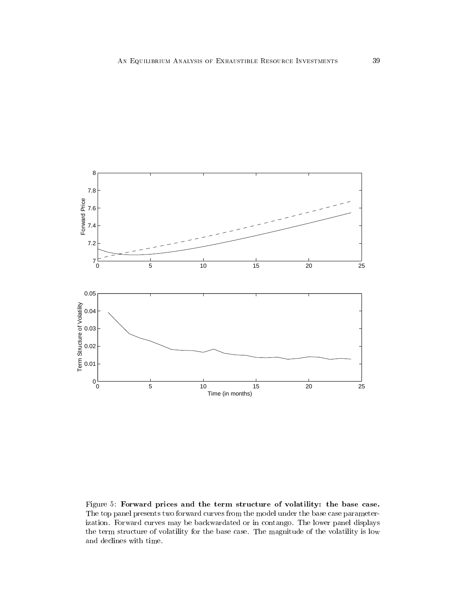

Figure 5: Forward prices and the term structure of volatility: the base case. The top panel presents two forward curves from the model under the base case parameterization. Forward curves may be backwardated or in contango. The lower panel displays the term structure of volatility for the base case. The magnitude of the volatility is low and declines with time.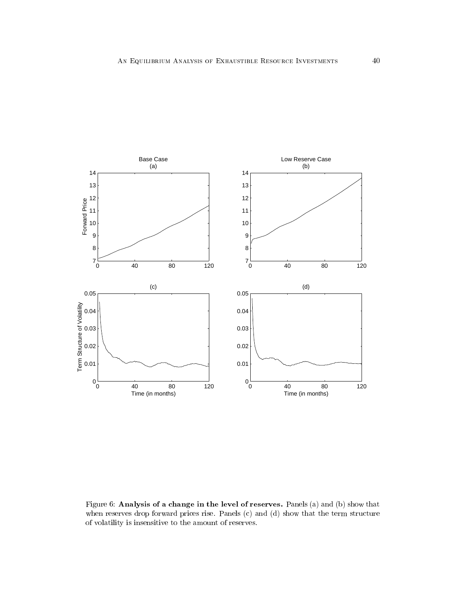

Figure 6: Analysis of a change in the level of reserves. Panels (a) and (b) show that when reserves drop forward prices rise. Panels (c) and (d) show that the term structure of volatility is insensitive to the amount of reserves.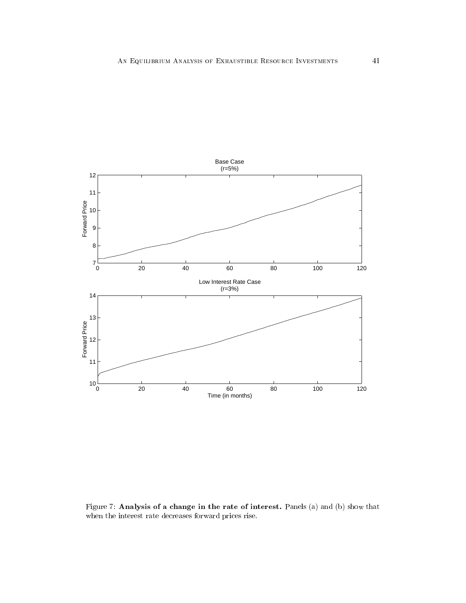

Figure 7: Analysis of a change in the rate of interest. Panels (a) and (b) show that when the interest rate decreases forward prices rise.